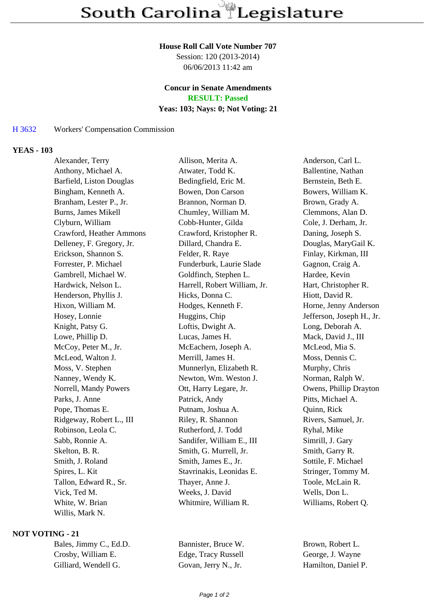#### **House Roll Call Vote Number 707**

Session: 120 (2013-2014) 06/06/2013 11:42 am

# **Concur in Senate Amendments**

**RESULT: Passed**

## **Yeas: 103; Nays: 0; Not Voting: 21**

## H 3632 Workers' Compensation Commission

### **YEAS - 103**

| Alexander, Terry           | Allison, Merita A.           | Anderson, Carl L.         |
|----------------------------|------------------------------|---------------------------|
| Anthony, Michael A.        | Atwater, Todd K.             | Ballentine, Nathan        |
| Barfield, Liston Douglas   | Bedingfield, Eric M.         | Bernstein, Beth E.        |
| Bingham, Kenneth A.        | Bowen, Don Carson            | Bowers, William K.        |
| Branham, Lester P., Jr.    | Brannon, Norman D.           | Brown, Grady A.           |
| <b>Burns, James Mikell</b> | Chumley, William M.          | Clemmons, Alan D.         |
| Clyburn, William           | Cobb-Hunter, Gilda           | Cole, J. Derham, Jr.      |
| Crawford, Heather Ammons   | Crawford, Kristopher R.      | Daning, Joseph S.         |
| Delleney, F. Gregory, Jr.  | Dillard, Chandra E.          | Douglas, MaryGail K.      |
| Erickson, Shannon S.       | Felder, R. Raye              | Finlay, Kirkman, III      |
| Forrester, P. Michael      | Funderburk, Laurie Slade     | Gagnon, Craig A.          |
| Gambrell, Michael W.       | Goldfinch, Stephen L.        | Hardee, Kevin             |
| Hardwick, Nelson L.        | Harrell, Robert William, Jr. | Hart, Christopher R.      |
| Henderson, Phyllis J.      | Hicks, Donna C.              | Hiott, David R.           |
| Hixon, William M.          | Hodges, Kenneth F.           | Horne, Jenny Anderson     |
| Hosey, Lonnie              | Huggins, Chip                | Jefferson, Joseph H., Jr. |
| Knight, Patsy G.           | Loftis, Dwight A.            | Long, Deborah A.          |
| Lowe, Phillip D.           | Lucas, James H.              | Mack, David J., III       |
| McCoy, Peter M., Jr.       | McEachern, Joseph A.         | McLeod, Mia S.            |
| McLeod, Walton J.          | Merrill, James H.            | Moss, Dennis C.           |
| Moss, V. Stephen           | Munnerlyn, Elizabeth R.      | Murphy, Chris             |
| Nanney, Wendy K.           | Newton, Wm. Weston J.        | Norman, Ralph W.          |
| Norrell, Mandy Powers      | Ott, Harry Legare, Jr.       | Owens, Phillip Drayton    |
| Parks, J. Anne             | Patrick, Andy                | Pitts, Michael A.         |
| Pope, Thomas E.            | Putnam, Joshua A.            | Quinn, Rick               |
| Ridgeway, Robert L., III   | Riley, R. Shannon            | Rivers, Samuel, Jr.       |
| Robinson, Leola C.         | Rutherford, J. Todd          | Ryhal, Mike               |
| Sabb, Ronnie A.            | Sandifer, William E., III    | Simrill, J. Gary          |
| Skelton, B. R.             | Smith, G. Murrell, Jr.       | Smith, Garry R.           |
| Smith, J. Roland           | Smith, James E., Jr.         | Sottile, F. Michael       |
| Spires, L. Kit             | Stavrinakis, Leonidas E.     | Stringer, Tommy M.        |
| Tallon, Edward R., Sr.     | Thayer, Anne J.              | Toole, McLain R.          |
| Vick, Ted M.               | Weeks, J. David              | Wells, Don L.             |
| White, W. Brian            | Whitmire, William R.         | Williams, Robert Q.       |
| Willis, Mark N.            |                              |                           |

#### **NOT VOTING - 21**

| Bales, Jimmy C., Ed.D. |  |  |
|------------------------|--|--|
| Crosby, William E.     |  |  |
| Gilliard. Wendell G.   |  |  |

Bannister, Bruce W. Brown, Robert L. Edge, Tracy Russell George, J. Wayne Govan, Jerry N., Jr. Hamilton, Daniel P.